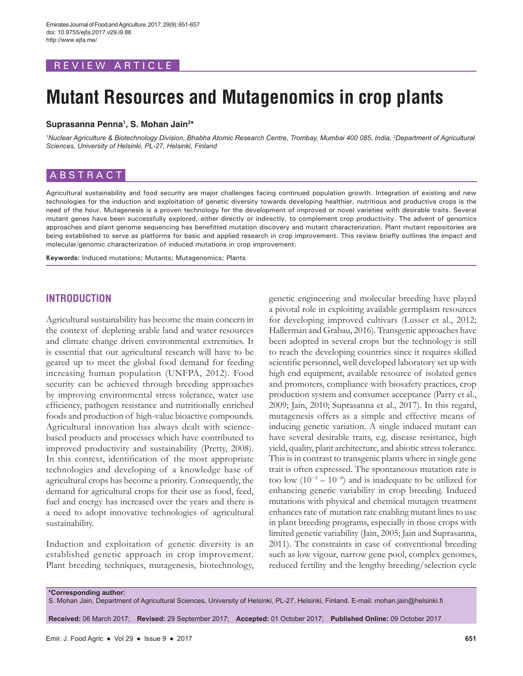# REVIEW ARTICLE

# **Mutant Resources and Mutagenomics in crop plants**

### **Suprasanna Penna1 , S. Mohan Jain2 \***

*1 Nuclear Agriculture & Biotechnology Division, Bhabha Atomic Research Centre, Trombay, Mumbai 400 085, India, 2 Department of Agricultural Sciences, University of Helsinki, PL-27, Helsinki, Finland*

# **ABSTRACT**

Agricultural sustainability and food security are major challenges facing continued population growth. Integration of existing and new technologies for the induction and exploitation of genetic diversity towards developing healthier, nutritious and productive crops is the need of the hour. Mutagenesis is a proven technology for the development of improved or novel varieties with desirable traits. Several mutant genes have been successfully explored, either directly or indirectly, to complement crop productivity. The advent of genomics approaches and plant genome sequencing has benefitted mutation discovery and mutant characterization. Plant mutant repositories are being established to serve as platforms for basic and applied research in crop improvement. This review briefly outlines the impact and molecular/genomic characterization of induced mutations in crop improvement.

**Keywords:** Induced mutations; Mutants; Mutagenomics; Plants

# **INTRODUCTION**

Agricultural sustainability has become the main concern in the context of depleting arable land and water resources and climate change driven environmental extremities. It is essential that our agricultural research will have to be geared up to meet the global food demand for feeding increasing human population (UNFPA, 2012). Food security can be achieved through breeding approaches by improving environmental stress tolerance, water use efficiency, pathogen resistance and nutritionally enriched foods and production of high-value bioactive compounds. Agricultural innovation has always dealt with sciencebased products and processes which have contributed to improved productivity and sustainability (Pretty, 2008). In this context, identification of the most appropriate technologies and developing of a knowledge base of agricultural crops has become a priority. Consequently, the demand for agricultural crops for their use as food, feed, fuel and energy has increased over the years and there is a need to adopt innovative technologies of agricultural sustainability.

Induction and exploitation of genetic diversity is an established genetic approach in crop improvement. Plant breeding techniques, mutagenesis, biotechnology, genetic engineering and molecular breeding have played a pivotal role in exploiting available germplasm resources for developing improved cultivars (Lusser et al., 2012; Hallerman and Grabau, 2016). Transgenic approaches have been adopted in several crops but the technology is still to reach the developing countries since it requires skilled scientific personnel, well developed laboratory set up with high end equipment, available resource of isolated genes and promoters, compliance with biosafety practices, crop production system and consumer acceptance (Parry et al., 2009; Jain, 2010; Suprasanna et al., 2017). In this regard, mutagenesis offers as a simple and effective means of inducing genetic variation. A single induced mutant can have several desirable traits, e.g. disease resistance, high yield, quality, plant architecture, and abiotic stress tolerance. This is in contrast to transgenic plants where in single gene trait is often expressed. The spontaneous mutation rate is too low  $(10^{-5} – 10^{-8})$  and is inadequate to be utilized for enhancing genetic variability in crop breeding. Induced mutations with physical and chemical mutagen treatment enhances rate of mutation rate enabling mutant lines to use in plant breeding programs, especially in those crops with limited genetic variability (Jain, 2005; Jain and Suprasanna, 2011). The constraints in case of conventional breeding such as low vigour, narrow gene pool, complex genomes, reduced fertility and the lengthy breeding/selection cycle

**\*Corresponding author:**

S. Mohan Jain, Department of Agricultural Sciences, University of Helsinki, PL-27, Helsinki, Finland. E-mail: mohan.jain@helsinki.fi

**Received:** 06 March 2017; **Revised:** 29 September 2017; **Accepted:** 01 October 2017; **Published Online:** 09 October 2017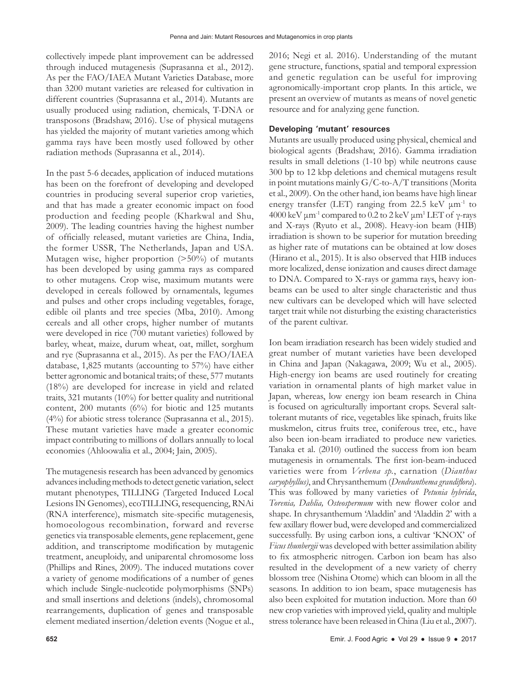collectively impede plant improvement can be addressed through induced mutagenesis (Suprasanna et al., 2012). As per the FAO/IAEA Mutant Varieties Database, more than 3200 mutant varieties are released for cultivation in different countries (Suprasanna et al., 2014). Mutants are usually produced using radiation, chemicals, T-DNA or transposons (Bradshaw, 2016). Use of physical mutagens has yielded the majority of mutant varieties among which gamma rays have been mostly used followed by other radiation methods (Suprasanna et al., 2014).

In the past 5-6 decades, application of induced mutations has been on the forefront of developing and developed countries in producing several superior crop varieties, and that has made a greater economic impact on food production and feeding people (Kharkwal and Shu, 2009). The leading countries having the highest number of officially released, mutant varieties are China, India, the former USSR, The Netherlands, Japan and USA. Mutagen wise, higher proportion (>50%) of mutants has been developed by using gamma rays as compared to other mutagens. Crop wise, maximum mutants were developed in cereals followed by ornamentals, legumes and pulses and other crops including vegetables, forage, edible oil plants and tree species (Mba, 2010). Among cereals and all other crops, higher number of mutants were developed in rice (700 mutant varieties) followed by barley, wheat, maize, durum wheat, oat, millet, sorghum and rye (Suprasanna et al., 2015). As per the FAO/IAEA database, 1,825 mutants (accounting to 57%) have either better agronomic and botanical traits; of these, 577 mutants (18%) are developed for increase in yield and related traits, 321 mutants (10%) for better quality and nutritional content, 200 mutants (6%) for biotic and 125 mutants (4%) for abiotic stress tolerance (Suprasanna et al., 2015). These mutant varieties have made a greater economic impact contributing to millions of dollars annually to local economies (Ahloowalia et al., 2004; Jain, 2005).

The mutagenesis research has been advanced by genomics advances including methods to detect genetic variation, select mutant phenotypes, TILLING (Targeted Induced Local Lesions IN Genomes), ecoTILLING, resequencing, RNAi (RNA interference), mismatch site-specific mutagenesis, homoeologous recombination, forward and reverse genetics via transposable elements, gene replacement, gene addition, and transcriptome modification by mutagenic treatment, aneuploidy, and uniparental chromosome loss (Phillips and Rines, 2009). The induced mutations cover a variety of genome modifications of a number of genes which include Single-nucleotide polymorphisms (SNPs) and small insertions and deletions (indels), chromosomal rearrangements, duplication of genes and transposable element mediated insertion/deletion events (Nogue et al.,

2016; Negi et al. 2016). Understanding of the mutant gene structure, functions, spatial and temporal expression and genetic regulation can be useful for improving agronomically-important crop plants. In this article, we present an overview of mutants as means of novel genetic resource and for analyzing gene function.

## **Developing 'mutant' resources**

Mutants are usually produced using physical, chemical and biological agents (Bradshaw, 2016). Gamma irradiation results in small deletions (1-10 bp) while neutrons cause 300 bp to 12 kbp deletions and chemical mutagens result in point mutations mainly G/C-to-A/T transitions (Morita et al., 2009). On the other hand, ion beams have high linear energy transfer (LET) ranging from 22.5 keV  $\mu$ m<sup>-1</sup> to 4000 keV  $\mu$ m<sup>-1</sup> compared to 0.2 to 2 keV  $\mu$ m<sup>1</sup> LET of γ-rays and X-rays (Ryuto et al., 2008). Heavy-ion beam (HIB) irradiation is shown to be superior for mutation breeding as higher rate of mutations can be obtained at low doses (Hirano et al., 2015). It is also observed that HIB induces more localized, dense ionization and causes direct damage to DNA. Compared to X-rays or gamma rays, heavy ionbeams can be used to alter single characteristic and thus new cultivars can be developed which will have selected target trait while not disturbing the existing characteristics of the parent cultivar.

Ion beam irradiation research has been widely studied and great number of mutant varieties have been developed in China and Japan (Nakagawa, 2009; Wu et al., 2005). High-energy ion beams are used routinely for creating variation in ornamental plants of high market value in Japan, whereas, low energy ion beam research in China is focused on agriculturally important crops. Several salttolerant mutants of rice, vegetables like spinach, fruits like muskmelon, citrus fruits tree, coniferous tree, etc., have also been ion-beam irradiated to produce new varieties. Tanaka et al. (2010) outlined the success from ion beam mutagenesis in ornamentals. The first ion-beam-induced varieties were from *Verbena sp.*, carnation (*Dianthus caryophyllus)*, and Chrysanthemum (*Dendranthema grandiflora*). This was followed by many varieties of *Petunia hybrida*, *Torenia, Dahlia, Osteospermum* with new flower color and shape. In chrysanthemum 'Aladdin' and 'Aladdin 2' with a few axillary flower bud, were developed and commercialized successfully. By using carbon ions, a cultivar 'KNOX' of *Ficus thunbergii* was developed with better assimilation ability to fix atmospheric nitrogen. Carbon ion beam has also resulted in the development of a new variety of cherry blossom tree (Nishina Otome) which can bloom in all the seasons. In addition to ion beam, space mutagenesis has also been exploited for mutation induction. More than 60 new crop varieties with improved yield, quality and multiple stress tolerance have been released in China (Liu et al., 2007).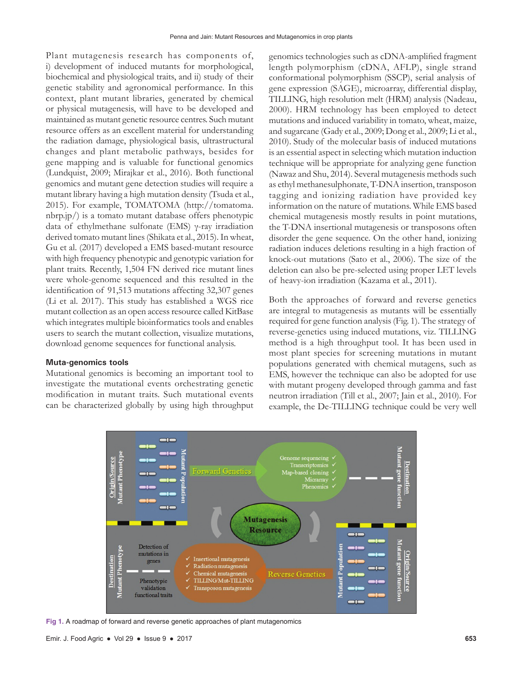Plant mutagenesis research has components of, i) development of induced mutants for morphological, biochemical and physiological traits, and ii) study of their genetic stability and agronomical performance. In this context, plant mutant libraries, generated by chemical or physical mutagenesis, will have to be developed and maintained as mutant genetic resource centres. Such mutant resource offers as an excellent material for understanding the radiation damage, physiological basis, ultrastructural changes and plant metabolic pathways, besides for gene mapping and is valuable for functional genomics (Lundquist, 2009; Mirajkar et al., 2016). Both functional genomics and mutant gene detection studies will require a mutant library having a high mutation density (Tsuda et al., 2015). For example, TOMATOMA (http://tomatoma. nbrp.jp/) is a tomato mutant database offers phenotypic data of ethylmethane sulfonate (EMS) γ-ray irradiation derived tomato mutant lines (Shikata et al., 2015). In wheat, Gu et al. (2017) developed a EMS based-mutant resource with high frequency phenotypic and genotypic variation for plant traits. Recently, 1,504 FN derived rice mutant lines were whole-genome sequenced and this resulted in the identification of 91,513 mutations affecting 32,307 genes (Li et al. 2017). This study has established a WGS rice mutant collection as an open access resource called KitBase which integrates multiple bioinformatics tools and enables users to search the mutant collection, visualize mutations, download genome sequences for functional analysis.

#### **Muta-genomics tools**

Mutational genomics is becoming an important tool to investigate the mutational events orchestrating genetic modification in mutant traits. Such mutational events can be characterized globally by using high throughput genomics technologies such as cDNA-amplified fragment length polymorphism (cDNA, AFLP), single strand conformational polymorphism (SSCP), serial analysis of gene expression (SAGE), microarray, differential display, TILLING, high resolution melt (HRM) analysis (Nadeau, 2000). HRM technology has been employed to detect mutations and induced variability in tomato, wheat, maize, and sugarcane (Gady et al., 2009; Dong et al., 2009; Li et al., 2010). Study of the molecular basis of induced mutations is an essential aspect in selecting which mutation induction technique will be appropriate for analyzing gene function (Nawaz and Shu, 2014). Several mutagenesis methods such as ethyl methanesulphonate, T-DNA insertion, transposon tagging and ionizing radiation have provided key information on the nature of mutations. While EMS based chemical mutagenesis mostly results in point mutations, the T-DNA insertional mutagenesis or transposons often disorder the gene sequence. On the other hand, ionizing radiation induces deletions resulting in a high fraction of knock-out mutations (Sato et al., 2006). The size of the deletion can also be pre-selected using proper LET levels of heavy-ion irradiation (Kazama et al., 2011).

Both the approaches of forward and reverse genetics are integral to mutagenesis as mutants will be essentially required for gene function analysis (Fig. 1). The strategy of reverse-genetics using induced mutations, viz. TILLING method is a high throughput tool. It has been used in most plant species for screening mutations in mutant populations generated with chemical mutagens, such as EMS, however the technique can also be adopted for use with mutant progeny developed through gamma and fast neutron irradiation (Till et al., 2007; Jain et al., 2010). For example, the De-TILLING technique could be very well



**Fig 1.** A roadmap of forward and reverse genetic approaches of plant mutagenomics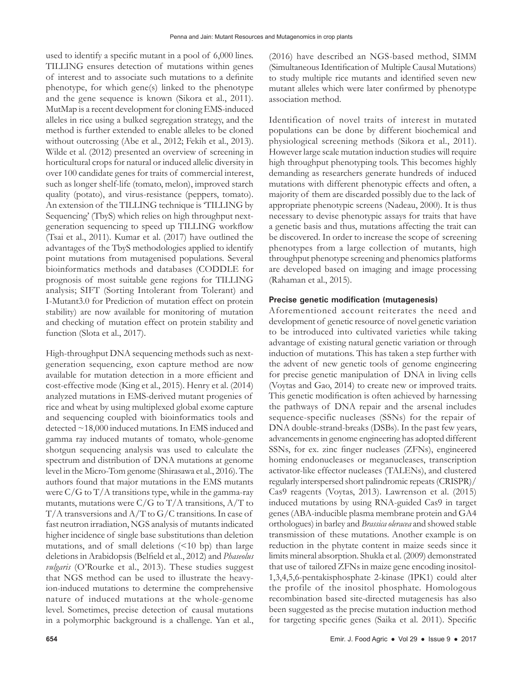used to identify a specific mutant in a pool of 6,000 lines. TILLING ensures detection of mutations within genes of interest and to associate such mutations to a definite phenotype, for which gene(s) linked to the phenotype and the gene sequence is known (Sikora et al., 2011). MutMap is a recent development for cloning EMS-induced alleles in rice using a bulked segregation strategy, and the method is further extended to enable alleles to be cloned without outcrossing (Abe et al., 2012; Fekih et al., 2013). Wilde et al. (2012) presented an overview of screening in horticultural crops for natural or induced allelic diversity in over 100 candidate genes for traits of commercial interest, such as longer shelf-life (tomato, melon), improved starch quality (potato), and virus-resistance (peppers, tomato). An extension of the TILLING technique is 'TILLING by Sequencing' (TbyS) which relies on high throughput nextgeneration sequencing to speed up TILLING workflow (Tsai et al., 2011). Kumar et al. (2017) have outlined the advantages of the TbyS methodologies applied to identify point mutations from mutagenised populations. Several bioinformatics methods and databases (CODDLE for prognosis of most suitable gene regions for TILLING analysis; SIFT (Sorting Intolerant from Tolerant) and I-Mutant3.0 for Prediction of mutation effect on protein stability) are now available for monitoring of mutation and checking of mutation effect on protein stability and function (Slota et al., 2017).

High-throughput DNA sequencing methods such as nextgeneration sequencing, exon capture method are now available for mutation detection in a more efficient and cost-effective mode (King et al., 2015). Henry et al. (2014) analyzed mutations in EMS-derived mutant progenies of rice and wheat by using multiplexed global exome capture and sequencing coupled with bioinformatics tools and detected ~18,000 induced mutations. In EMS induced and gamma ray induced mutants of tomato, whole-genome shotgun sequencing analysis was used to calculate the spectrum and distribution of DNA mutations at genome level in the Micro-Tom genome (Shirasawa et al., 2016). The authors found that major mutations in the EMS mutants were C/G to T/A transitions type, while in the gamma-ray mutants, mutations were  $C/G$  to  $T/A$  transitions,  $A/T$  to T/A transversions and A/T to G/C transitions. In case of fast neutron irradiation, NGS analysis of mutants indicated higher incidence of single base substitutions than deletion mutations, and of small deletions (<10 bp) than large deletions in Arabidopsis (Belfield et al., 2012) and *Phaseolus vulgaris* (O'Rourke et al., 2013). These studies suggest that NGS method can be used to illustrate the heavyion-induced mutations to determine the comprehensive nature of induced mutations at the whole-genome level. Sometimes, precise detection of causal mutations in a polymorphic background is a challenge. Yan et al.,

(2016) have described an NGS-based method, SIMM (Simultaneous Identification of Multiple Causal Mutations) to study multiple rice mutants and identified seven new mutant alleles which were later confirmed by phenotype association method.

Identification of novel traits of interest in mutated populations can be done by different biochemical and physiological screening methods (Sikora et al., 2011). However large scale mutation induction studies will require high throughput phenotyping tools. This becomes highly demanding as researchers generate hundreds of induced mutations with different phenotypic effects and often, a majority of them are discarded possibly due to the lack of appropriate phenotypic screens (Nadeau, 2000). It is thus necessary to devise phenotypic assays for traits that have a genetic basis and thus, mutations affecting the trait can be discovered. In order to increase the scope of screening phenotypes from a large collection of mutants, high throughput phenotype screening and phenomics platforms are developed based on imaging and image processing (Rahaman et al., 2015).

# **Precise genetic modification (mutagenesis)**

Aforementioned account reiterates the need and development of genetic resource of novel genetic variation to be introduced into cultivated varieties while taking advantage of existing natural genetic variation or through induction of mutations. This has taken a step further with the advent of new genetic tools of genome engineering for precise genetic manipulation of DNA in living cells (Voytas and Gao, 2014) to create new or improved traits. This genetic modification is often achieved by harnessing the pathways of DNA repair and the arsenal includes sequence-specific nucleases (SSNs) for the repair of DNA double-strand-breaks (DSBs). In the past few years, advancements in genome engineering has adopted different SSNs, for ex. zinc finger nucleases (ZFNs), engineered homing endonucleases or meganucleases, transcription activator-like effector nucleases (TALENs), and clustered regularly interspersed short palindromic repeats (CRISPR)/ Cas9 reagents (Voytas, 2013). Lawrenson et al. (2015) induced mutations by using RNA-guided Cas9 in target genes (ABA-inducible plasma membrane protein and GA4 orthologues) in barley and *Brassica oleracea* and showed stable transmission of these mutations. Another example is on reduction in the phytate content in maize seeds since it limits mineral absorption. Shukla et al. (2009) demonstrated that use of tailored ZFNs in maize gene encoding inositol-1,3,4,5,6-pentakisphosphate 2-kinase (IPK1) could alter the profile of the inositol phosphate. Homologous recombination based site-directed mutagenesis has also been suggested as the precise mutation induction method for targeting specific genes (Saika et al. 2011). Specific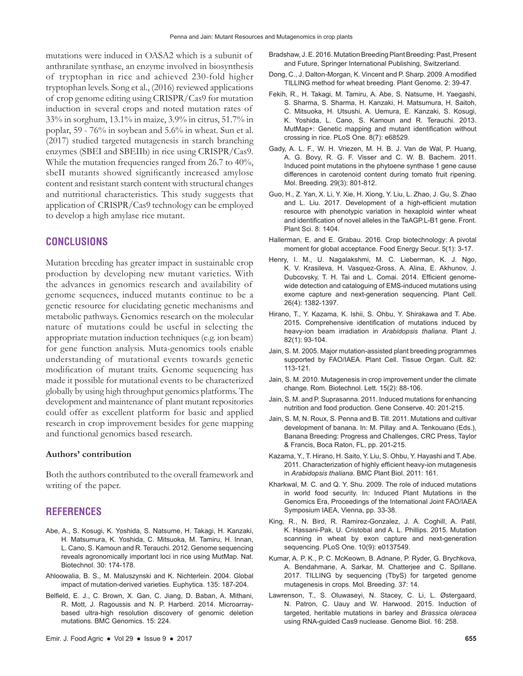mutations were induced in OASA2 which is a subunit of anthranilate synthase, an enzyme involved in biosynthesis of tryptophan in rice and achieved 230-fold higher tryptophan levels. Song et al., (2016) reviewed applications of crop genome editing using CRISPR/Cas9 for mutation induction in several crops and noted mutation rates of 33% in sorghum, 13.1% in maize, 3.9% in citrus, 51.7% in poplar, 59 - 76% in soybean and 5.6% in wheat. Sun et al. (2017) studied targeted mutagenesis in starch branching enzymes (SBEI and SBEIIb) in rice using CRISPR/Cas9. While the mutation frequencies ranged from 26.7 to 40%, sbeII mutants showed significantly increased amylose content and resistant starch content with structural changes and nutritional characteristics. This study suggests that application of CRISPR/Cas9 technology can be employed to develop a high amylase rice mutant.

# **CONCLUSIONS**

Mutation breeding has greater impact in sustainable crop production by developing new mutant varieties. With the advances in genomics research and availability of genome sequences, induced mutants continue to be a genetic resource for elucidating genetic mechanisms and metabolic pathways. Genomics research on the molecular nature of mutations could be useful in selecting the appropriate mutation induction techniques (e.g. ion beam) for gene function analysis. Muta-genomics tools enable understanding of mutational events towards genetic modification of mutant traits. Genome sequencing has made it possible for mutational events to be characterized globally by using high throughput genomics platforms. The development and maintenance of plant mutant repositories could offer as excellent platform for basic and applied research in crop improvement besides for gene mapping and functional genomics based research.

#### **Authors' contribution**

Both the authors contributed to the overall framework and writing of the paper.

## **REFERENCES**

- Abe, A., S. Kosugi, K. Yoshida, S. Natsume, H. Takagi, H. Kanzaki, H. Matsumura, K. Yoshida, C. Mitsuoka, M. Tamiru, H. Innan, L. Cano, S. Kamoun and R. Terauchi. 2012. Genome sequencing reveals agronomically important loci in rice using MutMap. Nat. Biotechnol. 30: 174-178.
- Ahloowalia, B. S., M. Maluszynski and K. Nichterlein. 2004. Global impact of mutation-derived varieties. Euphytica. 135: 187-204.
- Belfield, E. J., C. Brown, X. Gan, C. Jiang, D. Baban, A. Mithani, R. Mott, J. Ragoussis and N. P. Harberd. 2014. Microarraybased ultra-high resolution discovery of genomic deletion mutations. BMC Genomics. 15: 224.
- Bradshaw, J. E. 2016. Mutation Breeding Plant Breeding: Past, Present and Future, Springer International Publishing, Switzerland.
- Dong, C., J. Dalton-Morgan, K. Vincent and P. Sharp. 2009. A modified TILLING method for wheat breeding. Plant Genome. 2: 39-47.
- Fekih, R., H. Takagi, M. Tamiru, A. Abe, S. Natsume, H. Yaegashi, S. Sharma, S. Sharma, H. Kanzaki, H. Matsumura, H. Saitoh, C. Mitsuoka, H. Utsushi, A. Uemura, E. Kanzaki, S. Kosugi, K. Yoshida, L. Cano, S. Kamoun and R. Terauchi. 2013. MutMap+: Genetic mapping and mutant identification without crossing in rice. PLoS One. 8(7): e68529.
- Gady, A. L. F., W. H. Vriezen, M. H. B. J. Van de Wal, P. Huang, A. G. Bovy, R. G. F. Visser and C. W. B. Bachem. 2011. Induced point mutations in the phytoene synthase 1 gene cause differences in carotenoid content during tomato fruit ripening. Mol. Breeding. 29(3): 801-812.
- Guo, H., Z. Yan, X. Li, Y. Xie, H. Xiong, Y. Liu, L. Zhao, J. Gu, S. Zhao and L. Liu. 2017. Development of a high-efficient mutation resource with phenotypic variation in hexaploid winter wheat and identification of novel alleles in the TaAGP.L-B1 gene. Front. Plant Sci. 8: 1404.
- Hallerman, E. and E. Grabau. 2016. Crop biotechnology: A pivotal moment for global acceptance. Food Energy Secur. 5(1): 3-17.
- Henry, I. M., U. Nagalakshmi, M. C. Lieberman, K. J. Ngo, K. V. Krasileva, H. Vasquez-Gross, A. Alina, E. Akhunov, J. Dubcovsky, T. H. Tai and L. Comai. 2014. Efficient genomewide detection and cataloguing of EMS-induced mutations using exome capture and next-generation sequencing. Plant Cell. 26(4): 1382-1397.
- Hirano, T., Y. Kazama, K. Ishii, S. Ohbu, Y. Shirakawa and T. Abe. 2015. Comprehensive identification of mutations induced by heavy-ion beam irradiation in *Arabidopsis thaliana*. Plant J. 82(1): 93-104.
- Jain, S. M. 2005. Major mutation-assisted plant breeding programmes supported by FAO/IAEA. Plant Cell. Tissue Organ. Cult. 82: 113-121.
- Jain, S. M. 2010. Mutagenesis in crop improvement under the climate change. Rom. Biotechnol. Lett. 15(2): 88-106.
- Jain, S. M. and P. Suprasanna. 2011. Induced mutations for enhancing nutrition and food production. Gene Conserve. 40: 201-215.
- Jain, S. M, N. Roux, S. Penna and B. Till. 2011. Mutations and cultivar development of banana. In: M. Pillay. and A. Tenkouano (Eds.), Banana Breeding: Progress and Challenges, CRC Press, Taylor & Francis, Boca Raton, FL, pp. 201-215.
- Kazama, Y., T. Hirano, H. Saito, Y. Liu, S. Ohbu, Y. Hayashi and T. Abe. 2011. Characterization of highly efficient heavy-ion mutagenesis in *Arabidopsis thaliana*. BMC Plant Biol. 2011: 161.
- Kharkwal, M. C. and Q. Y. Shu. 2009. The role of induced mutations in world food security. In: Induced Plant Mutations in the Genomics Era, Proceedings of the International Joint FAO/IAEA Symposium IAEA, Vienna, pp. 33-38.
- King, R., N. Bird, R. Ramirez-Gonzalez, J. A. Coghill, A. Patil, K. Hassani-Pak, U. Cristobal and A. L. Phillips. 2015. Mutation scanning in wheat by exon capture and next-generation sequencing. PLoS One. 10(9): e0137549.
- Kumar, A. P. K., P. C. McKeown, B. Adnane, P. Ryder, G. Brychkova, A. Bendahmane, A. Sarkar, M. Chatterjee and C. Spillane. 2017. TILLING by sequencing (TbyS) for targeted genome mutagenesis in crops. Mol. Breeding. 37: 14.
- Lawrenson, T., S. Oluwaseyi, N. Stacey, C. Li, L. Østergaard, N. Patron, C. Uauy and W. Harwood. 2015. Induction of targeted, heritable mutations in barley and *Brassica oleracea* using RNA-guided Cas9 nuclease. Genome Biol. 16: 258.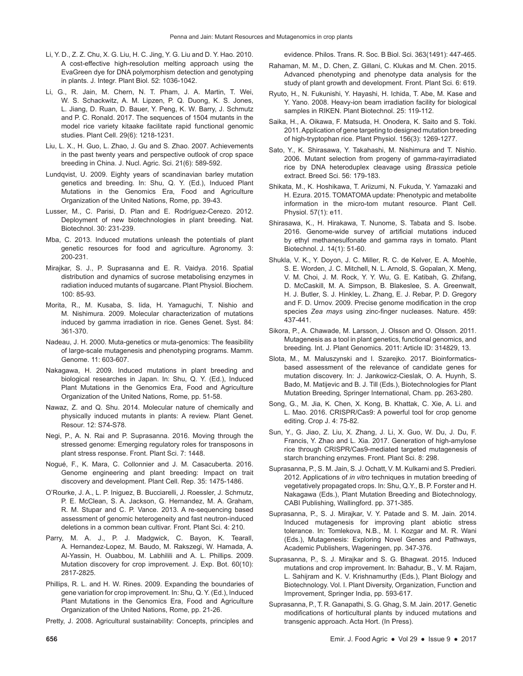- Li, Y. D., Z. Z. Chu, X. G. Liu, H. C. Jing, Y. G. Liu and D. Y. Hao. 2010. A cost-effective high-resolution melting approach using the EvaGreen dye for DNA polymorphism detection and genotyping in plants. J. Integr. Plant Biol. 52: 1036-1042.
- Li, G., R. Jain, M. Chern, N. T. Pham, J. A. Martin, T. Wei, W. S. Schackwitz, A. M. Lipzen, P. Q. Duong, K. S. Jones, L. Jiang, D. Ruan, D. Bauer, Y. Peng, K. W. Barry, J. Schmutz and P. C. Ronald. 2017. The sequences of 1504 mutants in the model rice variety kitaake facilitate rapid functional genomic studies. Plant Cell. 29(6): 1218-1231.
- Liu, L. X., H. Guo, L. Zhao, J. Gu and S. Zhao. 2007. Achievements in the past twenty years and perspective outlook of crop space breeding in China. J. Nucl. Agric. Sci. 21(6): 589-592.
- Lundqvist, U. 2009. Eighty years of scandinavian barley mutation genetics and breeding. In: Shu, Q. Y. (Ed.), Induced Plant Mutations in the Genomics Era, Food and Agriculture Organization of the United Nations, Rome, pp. 39-43.
- Lusser, M., C. Parisi, D. Plan and E. Rodríguez-Cerezo. 2012. Deployment of new biotechnologies in plant breeding. Nat. Biotechnol. 30: 231-239.
- Mba, C. 2013. Induced mutations unleash the potentials of plant genetic resources for food and agriculture. Agronomy. 3: 200-231.
- Mirajkar, S. J., P. Suprasanna and E. R. Vaidya. 2016. Spatial distribution and dynamics of sucrose metabolising enzymes in radiation induced mutants of sugarcane. Plant Physiol. Biochem. 100: 85-93.
- Morita, R., M. Kusaba, S. Iida, H. Yamaguchi, T. Nishio and M. Nishimura. 2009. Molecular characterization of mutations induced by gamma irradiation in rice. Genes Genet. Syst. 84: 361-370.
- Nadeau, J. H. 2000. Muta-genetics or muta-genomics: The feasibility of large-scale mutagenesis and phenotyping programs. Mamm. Genome. 11: 603-607.
- Nakagawa, H. 2009. Induced mutations in plant breeding and biological researches in Japan. In: Shu, Q. Y. (Ed.), Induced Plant Mutations in the Genomics Era, Food and Agriculture Organization of the United Nations, Rome, pp. 51-58.
- Nawaz, Z. and Q. Shu. 2014. Molecular nature of chemically and physically induced mutants in plants: A review. Plant Genet. Resour. 12: S74-S78.
- Negi, P., A. N. Rai and P. Suprasanna. 2016. Moving through the stressed genome: Emerging regulatory roles for transposons in plant stress response. Front. Plant Sci. 7: 1448.
- Nogué, F., K. Mara, C. Collonnier and J. M. Casacuberta. 2016. Genome engineering and plant breeding: Impact on trait discovery and development. Plant Cell. Rep. 35: 1475-1486.
- O'Rourke, J. A., L. P. Iniguez, B. Bucciarelli, J. Roessler, J. Schmutz, P. E. McClean, S. A. Jackson, G. Hernandez, M. A. Graham, R. M. Stupar and C. P. Vance. 2013. A re-sequencing based assessment of genomic heterogeneity and fast neutron-induced deletions in a common bean cultivar. Front. Plant Sci. 4: 210.
- Parry, M. A. J., P. J. Madgwick, C. Bayon, K. Tearall, A. Hernandez-Lopez, M. Baudo, M. Rakszegi, W. Hamada, A. Al-Yassin, H. Ouabbou, M. Labhilili and A. L. Phillips. 2009. Mutation discovery for crop improvement. J. Exp. Bot. 60(10): 2817-2825.
- Phillips, R. L. and H. W. Rines. 2009. Expanding the boundaries of gene variation for crop improvement. In: Shu, Q. Y. (Ed.), Induced Plant Mutations in the Genomics Era, Food and Agriculture Organization of the United Nations, Rome, pp. 21-26.

Pretty, J. 2008. Agricultural sustainability: Concepts, principles and

evidence. Philos. Trans. R. Soc. B Biol. Sci. 363(1491): 447-465.

- Rahaman, M. M., D. Chen, Z. Gillani, C. Klukas and M. Chen. 2015. Advanced phenotyping and phenotype data analysis for the study of plant growth and development. Front. Plant Sci. 6: 619.
- Ryuto, H., N. Fukunishi, Y. Hayashi, H. Ichida, T. Abe, M. Kase and Y. Yano. 2008. Heavy-ion beam irradiation facility for biological samples in RIKEN. Plant Biotechnol. 25: 119-112.
- Saika, H., A. Oikawa, F. Matsuda, H. Onodera, K. Saito and S. Toki. 2011. Application of gene targeting to designed mutation breeding of high-tryptophan rice. Plant Physiol. 156(3): 1269-1277.
- Sato, Y., K. Shirasawa, Y. Takahashi, M. Nishimura and T. Nishio. 2006. Mutant selection from progeny of gamma-rayirradiated rice by DNA heteroduplex cleavage using *Brassica* petiole extract. Breed Sci. 56: 179-183.
- Shikata, M., K. Hoshikawa, T. Ariizumi, N. Fukuda, Y. Yamazaki and H. Ezura. 2015. TOMATOMA update: Phenotypic and metabolite information in the micro-tom mutant resource. Plant Cell. Physiol. 57(1): e11.
- Shirasawa, K., H. Hirakawa, T. Nunome, S. Tabata and S. Isobe. 2016. Genome-wide survey of artificial mutations induced by ethyl methanesulfonate and gamma rays in tomato. Plant Biotechnol. J. 14(1): 51-60.
- Shukla, V. K., Y. Doyon, J. C. Miller, R. C. de Kelver, E. A. Moehle, S. E. Worden, J. C. Mitchell, N. L. Arnold, S. Gopalan, X. Meng, V. M. Choi, J. M. Rock, Y. Y. Wu, G. E. Katibah, G. Zhifang, D. McCaskill, M. A. Simpson, B. Blakeslee, S. A. Greenwalt, H. J. Butler, S. J. Hinkley, L. Zhang, E. J. Rebar, P. D. Gregory and F. D. Urnov. 2009. Precise genome modification in the crop species *Zea mays* using zinc-finger nucleases. Nature. 459: 437-441.
- Sikora, P., A. Chawade, M. Larsson, J. Olsson and O. Olsson. 2011. Mutagenesis as a tool in plant genetics, functional genomics, and breeding. Int. J. Plant Genomics. 2011: Article ID: 314829, 13.
- Slota, M., M. Maluszynski and I. Szarejko. 2017. Bioinformaticsbased assessment of the relevance of candidate genes for mutation discovery. In: J. Jankowicz-Cieslak, O. A. Huynh, S. Bado, M. Matijevic and B. J. Till (Eds.), Biotechnologies for Plant Mutation Breeding, Springer International, Cham. pp. 263-280.
- Song, G., M. Jia, K. Chen, X. Kong, B. Khattak, C. Xie, A. Li. and L. Mao. 2016. CRISPR/Cas9: A powerful tool for crop genome editing. Crop J. 4: 75-82.
- Sun, Y., G. Jiao, Z. Liu, X. Zhang, J. Li, X. Guo, W. Du, J. Du, F. Francis, Y. Zhao and L. Xia. 2017. Generation of high-amylose rice through CRISPR/Cas9-mediated targeted mutagenesis of starch branching enzymes. Front. Plant Sci. 8: 298.
- Suprasanna, P., S. M. Jain, S. J. Ochatt, V. M. Kulkarni and S. Predieri. 2012. Applications of *in vitro* techniques in mutation breeding of vegetatively propagated crops. In: Shu, Q.Y., B. P. Forster and H. Nakagawa (Eds.), Plant Mutation Breeding and Biotechnology, CABI Publishing, Wallingford. pp. 371-385.
- Suprasanna, P., S. J. Mirajkar, V. Y. Patade and S. M. Jain. 2014. Induced mutagenesis for improving plant abiotic stress tolerance. In: Tomlekova, N.B., M. I. Kozgar and M. R. Wani (Eds.), Mutagenesis: Exploring Novel Genes and Pathways, Academic Publishers, Wageningen, pp. 347-376.
- Suprasanna, P., S. J. Mirajkar and S. G. Bhagwat. 2015. Induced mutations and crop improvement. In: Bahadur, B., V. M. Rajam, L. Sahijram and K. V. Krishnamurthy (Eds.), Plant Biology and Biotechnology. Vol. I. Plant Diversity, Organization, Function and Improvement, Springer India, pp. 593-617.
- Suprasanna, P., T. R. Ganapathi, S. G. Ghag, S. M. Jain. 2017. Genetic modifications of horticultural plants by induced mutations and transgenic approach. Acta Hort. (In Press).